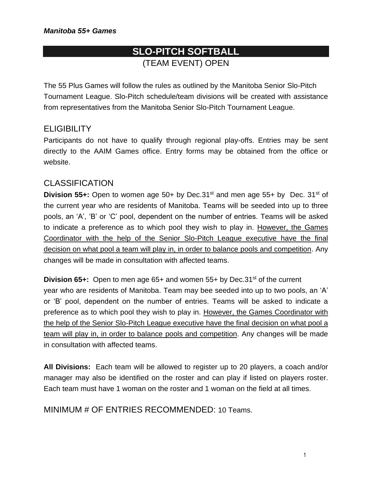# **SLO-PITCH SOFTBALL** (TEAM EVENT) OPEN

The 55 Plus Games will follow the rules as outlined by the Manitoba Senior Slo-Pitch Tournament League. Slo-Pitch schedule/team divisions will be created with assistance from representatives from the Manitoba Senior Slo-Pitch Tournament League.

#### **ELIGIBILITY**

Participants do not have to qualify through regional play-offs. Entries may be sent directly to the AAIM Games office. Entry forms may be obtained from the office or website.

### **CLASSIFICATION**

**Division 55+:** Open to women age 50+ by Dec.31<sup>st</sup> and men age 55+ by Dec. 31<sup>st</sup> of the current year who are residents of Manitoba. Teams will be seeded into up to three pools, an 'A', 'B' or 'C' pool, dependent on the number of entries. Teams will be asked to indicate a preference as to which pool they wish to play in. However, the Games Coordinator with the help of the Senior Slo-Pitch League executive have the final decision on what pool a team will play in, in order to balance pools and competition. Any changes will be made in consultation with affected teams.

**Division 65+:** Open to men age 65+ and women 55+ by Dec.31<sup>st</sup> of the current year who are residents of Manitoba. Team may bee seeded into up to two pools, an 'A' or 'B' pool, dependent on the number of entries. Teams will be asked to indicate a preference as to which pool they wish to play in. However, the Games Coordinator with the help of the Senior Slo-Pitch League executive have the final decision on what pool a team will play in, in order to balance pools and competition. Any changes will be made in consultation with affected teams.

**All Divisions:** Each team will be allowed to register up to 20 players, a coach and/or manager may also be identified on the roster and can play if listed on players roster. Each team must have 1 woman on the roster and 1 woman on the field at all times.

MINIMUM # OF ENTRIES RECOMMENDED: 10 Teams.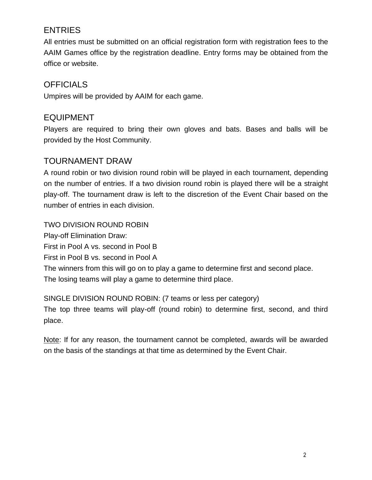# **ENTRIES**

All entries must be submitted on an official registration form with registration fees to the AAIM Games office by the registration deadline. Entry forms may be obtained from the office or website.

## **OFFICIALS**

Umpires will be provided by AAIM for each game.

### EQUIPMENT

Players are required to bring their own gloves and bats. Bases and balls will be provided by the Host Community.

#### TOURNAMENT DRAW

A round robin or two division round robin will be played in each tournament, depending on the number of entries. If a two division round robin is played there will be a straight play-off. The tournament draw is left to the discretion of the Event Chair based on the number of entries in each division.

TWO DIVISION ROUND ROBIN Play-off Elimination Draw:

First in Pool A vs. second in Pool B

First in Pool B vs. second in Pool A

The winners from this will go on to play a game to determine first and second place. The losing teams will play a game to determine third place.

SINGLE DIVISION ROUND ROBIN: (7 teams or less per category)

The top three teams will play-off (round robin) to determine first, second, and third place.

Note: If for any reason, the tournament cannot be completed, awards will be awarded on the basis of the standings at that time as determined by the Event Chair.